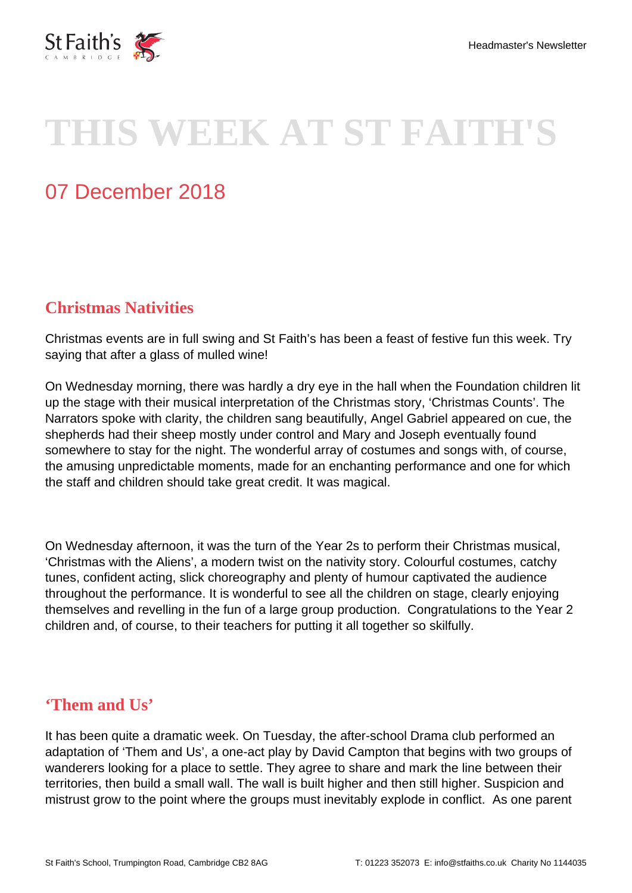

# **THIS WEEK AT ST FAITH'S**

# 07 December 2018

## **Christmas Nativities**

Christmas events are in full swing and St Faith's has been a feast of festive fun this week. Try saying that after a glass of mulled wine!

On Wednesday morning, there was hardly a dry eye in the hall when the Foundation children lit up the stage with their musical interpretation of the Christmas story, 'Christmas Counts'. The Narrators spoke with clarity, the children sang beautifully, Angel Gabriel appeared on cue, the shepherds had their sheep mostly under control and Mary and Joseph eventually found somewhere to stay for the night. The wonderful array of costumes and songs with, of course, the amusing unpredictable moments, made for an enchanting performance and one for which the staff and children should take great credit. It was magical.

On Wednesday afternoon, it was the turn of the Year 2s to perform their Christmas musical, 'Christmas with the Aliens', a modern twist on the nativity story. Colourful costumes, catchy tunes, confident acting, slick choreography and plenty of humour captivated the audience throughout the performance. It is wonderful to see all the children on stage, clearly enjoying themselves and revelling in the fun of a large group production. Congratulations to the Year 2 children and, of course, to their teachers for putting it all together so skilfully.

#### **'Them and Us'**

It has been quite a dramatic week. On Tuesday, the after-school Drama club performed an adaptation of 'Them and Us', a one-act play by David Campton that begins with two groups of wanderers looking for a place to settle. They agree to share and mark the line between their territories, then build a small wall. The wall is built higher and then still higher. Suspicion and mistrust grow to the point where the groups must inevitably explode in conflict. As one parent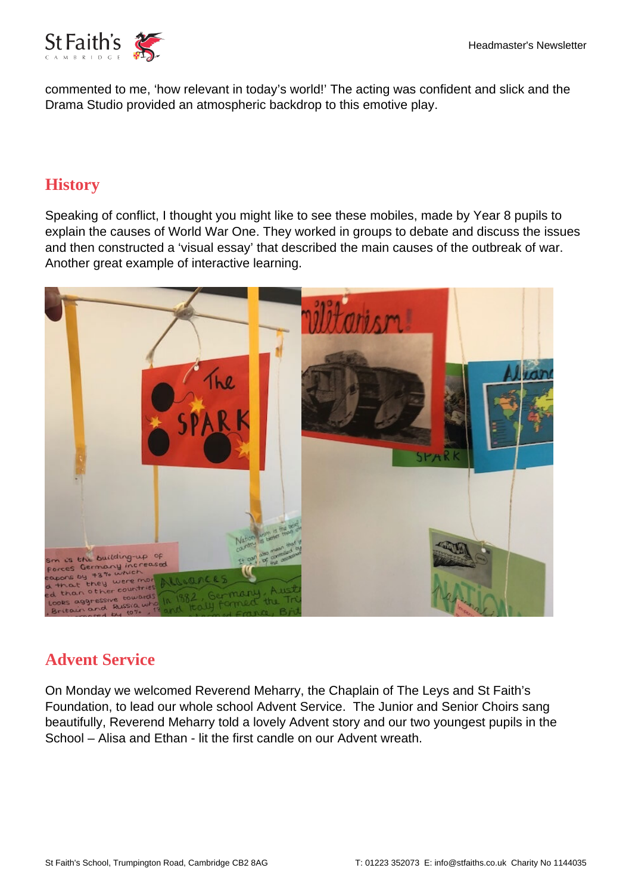

commented to me, 'how relevant in today's world!' The acting was confident and slick and the Drama Studio provided an atmospheric backdrop to this emotive play.

#### **History**

Speaking of conflict, I thought you might like to see these mobiles, made by Year 8 pupils to explain the causes of World War One. They worked in groups to debate and discuss the issues and then constructed a 'visual essay' that described the main causes of the outbreak of war. Another great example of interactive learning.



## **Advent Service**

On Monday we welcomed Reverend Meharry, the Chaplain of The Leys and St Faith's Foundation, to lead our whole school Advent Service. The Junior and Senior Choirs sang beautifully, Reverend Meharry told a lovely Advent story and our two youngest pupils in the School – Alisa and Ethan - lit the first candle on our Advent wreath.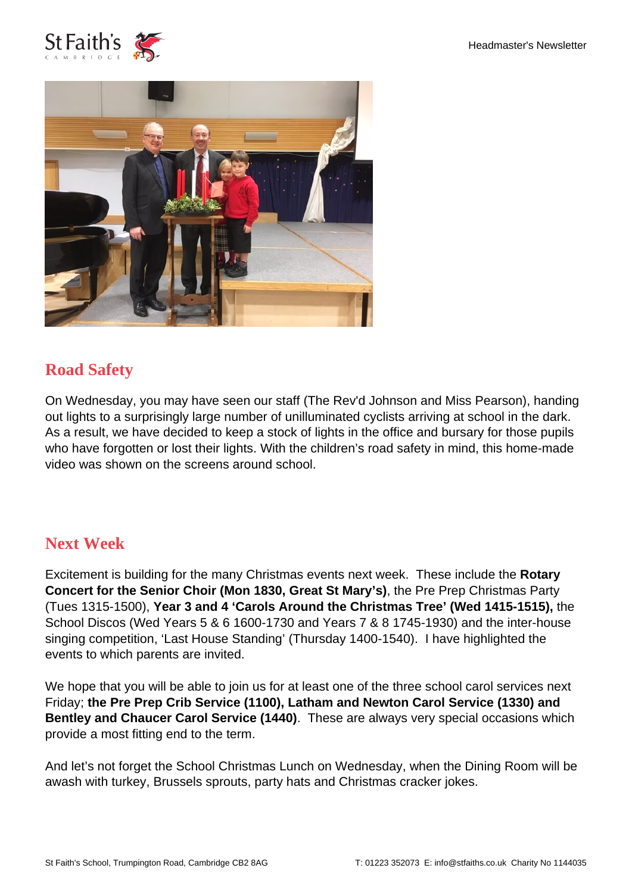



#### **Road Safety**

On Wednesday, you may have seen our staff (The Rev'd Johnson and Miss Pearson), handing out lights to a surprisingly large number of unilluminated cyclists arriving at school in the dark. As a result, we have decided to keep a stock of lights in the office and bursary for those pupils who have forgotten or lost their lights. With the children's road safety in mind, this home-made video was shown on the screens around school.

#### **Next Week**

Excitement is building for the many Christmas events next week. These include the **Rotary Concert for the Senior Choir (Mon 1830, Great St Mary's)**, the Pre Prep Christmas Party (Tues 1315-1500), **Year 3 and 4 'Carols Around the Christmas Tree' (Wed 1415-1515),** the School Discos (Wed Years 5 & 6 1600-1730 and Years 7 & 8 1745-1930) and the inter-house singing competition, 'Last House Standing' (Thursday 1400-1540). I have highlighted the events to which parents are invited.

We hope that you will be able to join us for at least one of the three school carol services next Friday; **the Pre Prep Crib Service (1100), Latham and Newton Carol Service (1330) and Bentley and Chaucer Carol Service (1440)**. These are always very special occasions which provide a most fitting end to the term.

And let's not forget the School Christmas Lunch on Wednesday, when the Dining Room will be awash with turkey, Brussels sprouts, party hats and Christmas cracker jokes.